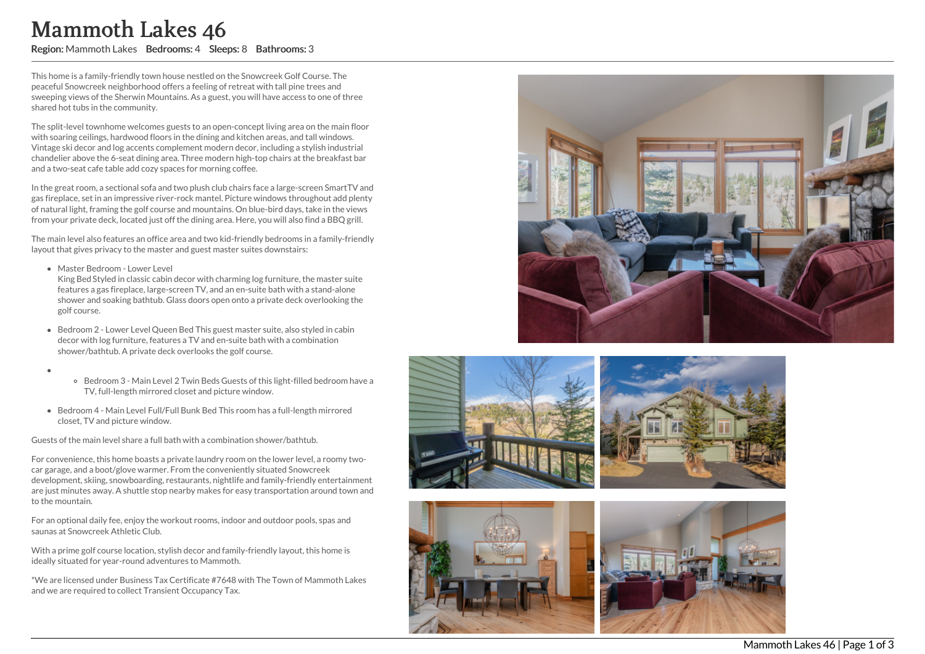This home is a family-friendly town house nestled on the Snowcreek Golf Course. The peaceful Snowcreek neighborhood offers a feeling of retreat with tall pine trees and sweeping views of the Sherwin Mountains. As a guest, you will have access to one of three shared hot tubs in the community.

The split-level townhome welcomes guests to an open-concept living area on the main floor with soaring ceilings, hardwood floors in the dining and kitchen areas, and tall windows. Vintage ski decor and log accents complement modern decor, including a stylish industrial chandelier above the 6-seat dining area. Three modern high-top chairs at the breakfast ba r and a two-seat cafe table add cozy spaces for morning coffee. **Mammoth Lakes Bedroms:4 Sleeps: 8 Bathrooms: 3**<br>
This home is a family-friendly town house nestled on the Snowcreek Golt Course<br>
posected Snowcreek neighborhood offers a feeling of retreats with tail plue treats were<br>
swe

In the great room, a sectional sofa and two plush club chairs face a large-screen SmartTV and gas fireplace, set in an impressive river-rock mantel. Picture windows throughout add plenty of natural light, framing the golf course and mountains. On blue-bird days, take in the views from your private deck, located just off the dining area. Here, you will also find a BBQ grill.

The main level also features an office area and two kid-friendly bedrooms in a family-frien dly layout that gives privacy to the master and guest master suites downstairs:

Master Bedroom - Lower Level

King Bed Styled in classic cabin decor with charming log furniture, the master suite features a gas fireplace, large-screen TV, and an en-suite bath with a stand-alone shower and soaking bathtub. Glass doors open onto a private deck overlooking the golf course.

- Bedroom 2 Lower Level Queen Bed This guest master suite, also styled in cabin decor with log furniture, features a TV and en-suite bath with a combination shower/bathtub. A private deck overlooks the golf course.
- 
- Bedroom 3 Main Level 2 Twin Beds Guests of this light-filled bedroom have a TV, full-length mirrored closet and picture window.
- Bedroom 4 Main Level Full/Full Bunk Bed This room has a full-length mirrored closet, TV and picture window.

Guests of the main level share a full bath with a combination shower/bathtub.

For convenience, this home boasts a private laundry room on the lower level, a roomy two car garage, and a boot/glove warmer. From the conveniently situated Snowcreek development, skiing, snowboarding, restaurants, nightlife and family-friendly entertainment are just minutes away. A shuttle stop nearby makes for easy transportation around town and to the mountain.

For an optional daily fee, enjoy the workout rooms, indoor and outdoor pools, spas and saunas at Snowcreek Athletic Club.

With a prime golf course location, stylish decor and family-friendly layout, this home is ideally situated for year-round adventures to Mammoth.

\*We are licensed under Business Tax Certificate #7648 with The Town of Mammoth Lakes







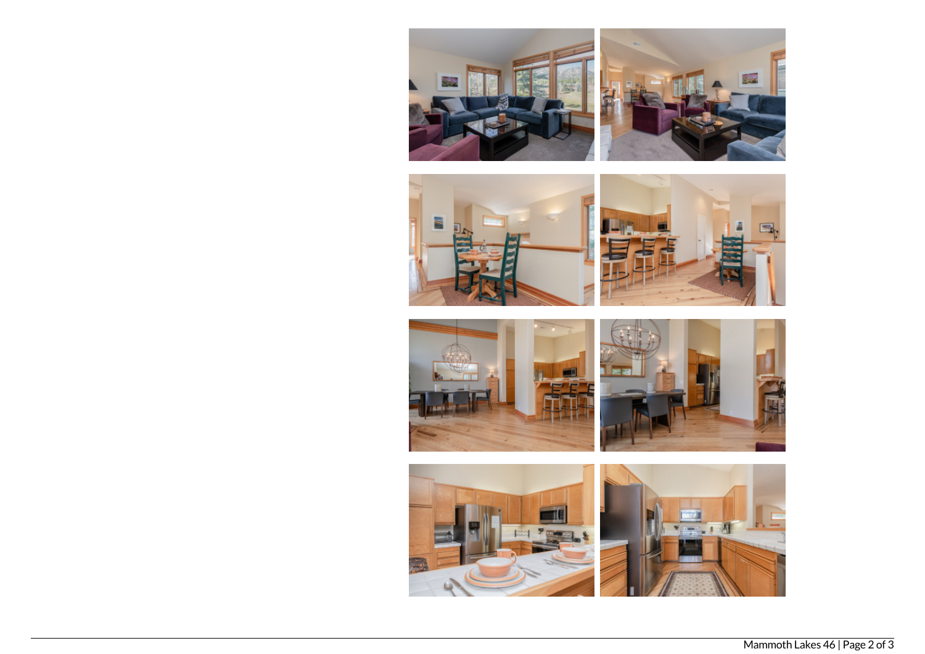





is.